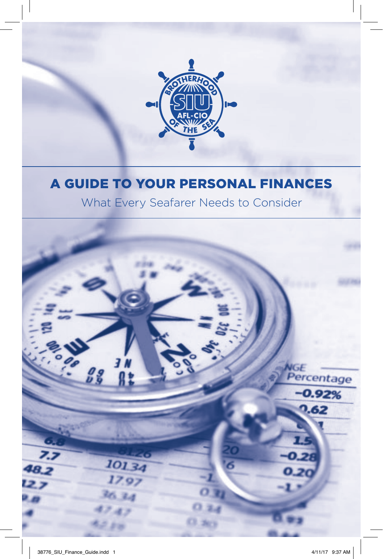

### A GUIDE TO YOUR PERSONAL FINANCES

What Every Seafarer Needs to Consider

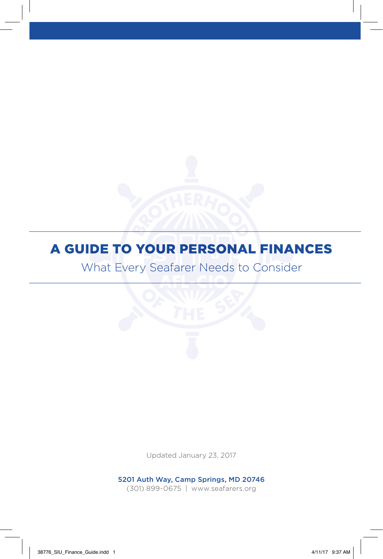### A GUIDE TO YOUR PERSONAL FINANCES

What Every Seafarer Needs to Consider

Updated January 23, 2017

5201 Auth Way, Camp Springs, MD 20746 (301) 899-0675 | www.seafarers.org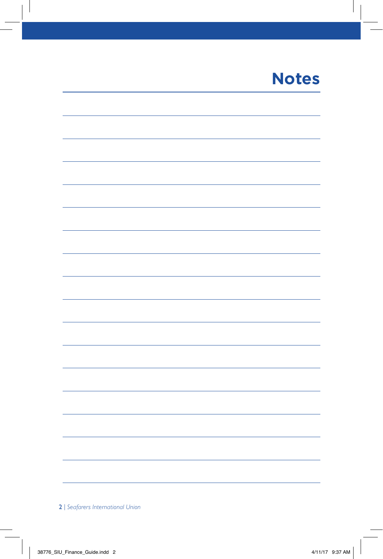### **Notes**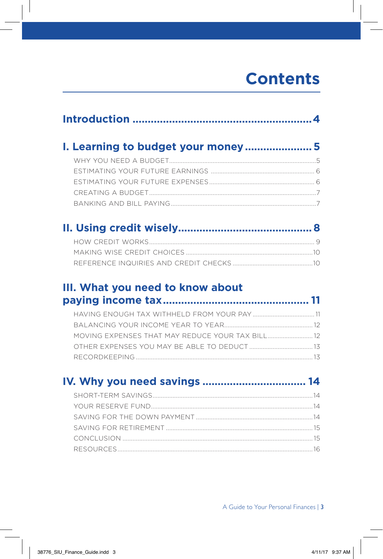### **Contents**

| I. Learning to budget your money5 |  |  |  |
|-----------------------------------|--|--|--|
|                                   |  |  |  |
|                                   |  |  |  |
|                                   |  |  |  |
|                                   |  |  |  |
|                                   |  |  |  |
|                                   |  |  |  |
|                                   |  |  |  |
|                                   |  |  |  |
| III. What you need to know about  |  |  |  |
|                                   |  |  |  |
|                                   |  |  |  |
|                                   |  |  |  |
|                                   |  |  |  |
|                                   |  |  |  |
| IV. Why you need savings  14      |  |  |  |
|                                   |  |  |  |
|                                   |  |  |  |
|                                   |  |  |  |
|                                   |  |  |  |
|                                   |  |  |  |
|                                   |  |  |  |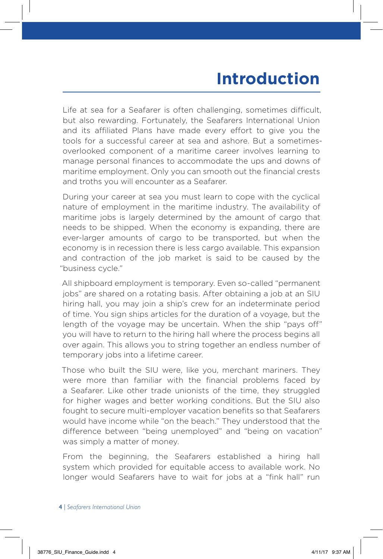### **Introduction**

Life at sea for a Seafarer is often challenging, sometimes difficult, but also rewarding. Fortunately, the Seafarers International Union and its affiliated Plans have made every effort to give you the tools for a successful career at sea and ashore. But a sometimesoverlooked component of a maritime career involves learning to manage personal finances to accommodate the ups and downs of maritime employment. Only you can smooth out the financial crests and troths you will encounter as a Seafarer.

During your career at sea you must learn to cope with the cyclical nature of employment in the maritime industry. The availability of maritime jobs is largely determined by the amount of cargo that needs to be shipped. When the economy is expanding, there are ever-larger amounts of cargo to be transported, but when the economy is in recession there is less cargo available. This expansion and contraction of the job market is said to be caused by the "business cycle."

All shipboard employment is temporary. Even so-called "permanent jobs" are shared on a rotating basis. After obtaining a job at an SIU hiring hall, you may join a ship's crew for an indeterminate period of time. You sign ships articles for the duration of a voyage, but the length of the voyage may be uncertain. When the ship "pays off" you will have to return to the hiring hall where the process begins all over again. This allows you to string together an endless number of temporary jobs into a lifetime career.

Those who built the SIU were, like you, merchant mariners. They were more than familiar with the financial problems faced by a Seafarer. Like other trade unionists of the time, they struggled for higher wages and better working conditions. But the SIU also fought to secure multi-employer vacation benefits so that Seafarers would have income while "on the beach." They understood that the difference between "being unemployed" and "being on vacation" was simply a matter of money.

From the beginning, the Seafarers established a hiring hall system which provided for equitable access to available work. No longer would Seafarers have to wait for jobs at a "fink hall" run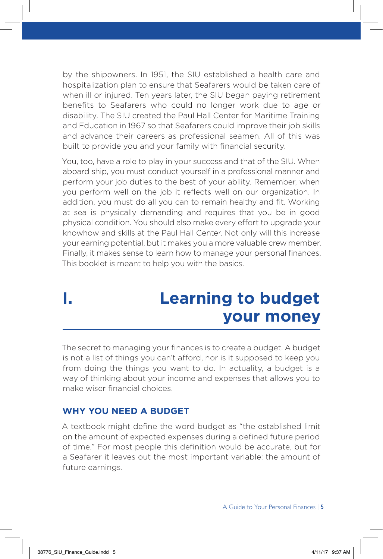by the shipowners. In 1951, the SIU established a health care and hospitalization plan to ensure that Seafarers would be taken care of when ill or injured. Ten years later, the SIU began paying retirement benefits to Seafarers who could no longer work due to age or disability. The SIU created the Paul Hall Center for Maritime Training and Education in 1967 so that Seafarers could improve their job skills and advance their careers as professional seamen. All of this was built to provide you and your family with financial security.

You, too, have a role to play in your success and that of the SIU. When aboard ship, you must conduct yourself in a professional manner and perform your job duties to the best of your ability. Remember, when you perform well on the job it reflects well on our organization. In addition, you must do all you can to remain healthy and fit. Working at sea is physically demanding and requires that you be in good physical condition. You should also make every effort to upgrade your knowhow and skills at the Paul Hall Center. Not only will this increase your earning potential, but it makes you a more valuable crew member. Finally, it makes sense to learn how to manage your personal finances. This booklet is meant to help you with the basics.

### **I. Learning to budget your money**

The secret to managing your finances is to create a budget. A budget is not a list of things you can't afford, nor is it supposed to keep you from doing the things you want to do. In actuality, a budget is a way of thinking about your income and expenses that allows you to make wiser financial choices.

#### **WHY YOU NEED A BUDGET**

A textbook might define the word budget as "the established limit on the amount of expected expenses during a defined future period of time." For most people this definition would be accurate, but for a Seafarer it leaves out the most important variable: the amount of future earnings.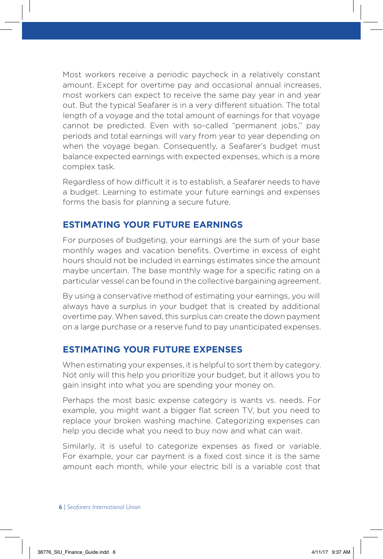Most workers receive a periodic paycheck in a relatively constant amount. Except for overtime pay and occasional annual increases, most workers can expect to receive the same pay year in and year out. But the typical Seafarer is in a very different situation. The total length of a voyage and the total amount of earnings for that voyage cannot be predicted. Even with so-called "permanent jobs," pay periods and total earnings will vary from year to year depending on when the voyage began. Consequently, a Seafarer's budget must balance expected earnings with expected expenses, which is a more complex task.

Regardless of how difficult it is to establish, a Seafarer needs to have a budget. Learning to estimate your future earnings and expenses forms the basis for planning a secure future.

#### **ESTIMATING YOUR FUTURE EARNINGS**

For purposes of budgeting, your earnings are the sum of your base monthly wages and vacation benefits. Overtime in excess of eight hours should not be included in earnings estimates since the amount maybe uncertain. The base monthly wage for a specific rating on a particular vessel can be found in the collective bargaining agreement.

By using a conservative method of estimating your earnings, you will always have a surplus in your budget that is created by additional overtime pay. When saved, this surplus can create the down payment on a large purchase or a reserve fund to pay unanticipated expenses.

#### **ESTIMATING YOUR FUTURE EXPENSES**

When estimating your expenses, it is helpful to sort them by category. Not only will this help you prioritize your budget, but it allows you to gain insight into what you are spending your money on.

Perhaps the most basic expense category is wants vs. needs. For example, you might want a bigger flat screen TV, but you need to replace your broken washing machine. Categorizing expenses can help you decide what you need to buy now and what can wait.

Similarly, it is useful to categorize expenses as fixed or variable. For example, your car payment is a fixed cost since it is the same amount each month, while your electric bill is a variable cost that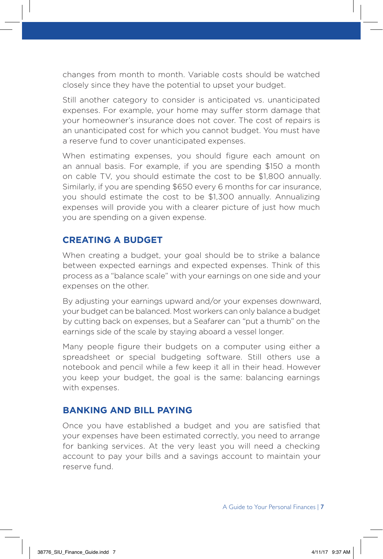changes from month to month. Variable costs should be watched closely since they have the potential to upset your budget.

Still another category to consider is anticipated vs. unanticipated expenses. For example, your home may suffer storm damage that your homeowner's insurance does not cover. The cost of repairs is an unanticipated cost for which you cannot budget. You must have a reserve fund to cover unanticipated expenses.

When estimating expenses, you should figure each amount on an annual basis. For example, if you are spending \$150 a month on cable TV, you should estimate the cost to be \$1,800 annually. Similarly, if you are spending \$650 every 6 months for car insurance, you should estimate the cost to be \$1,300 annually. Annualizing expenses will provide you with a clearer picture of just how much you are spending on a given expense.

#### **CREATING A BUDGET**

When creating a budget, your goal should be to strike a balance between expected earnings and expected expenses. Think of this process as a "balance scale" with your earnings on one side and your expenses on the other.

By adjusting your earnings upward and/or your expenses downward, your budget can be balanced. Most workers can only balance a budget by cutting back on expenses, but a Seafarer can "put a thumb" on the earnings side of the scale by staying aboard a vessel longer.

Many people figure their budgets on a computer using either a spreadsheet or special budgeting software. Still others use a notebook and pencil while a few keep it all in their head. However you keep your budget, the goal is the same: balancing earnings with expenses.

#### **BANKING AND BILL PAYING**

Once you have established a budget and you are satisfied that your expenses have been estimated correctly, you need to arrange for banking services. At the very least you will need a checking account to pay your bills and a savings account to maintain your reserve fund.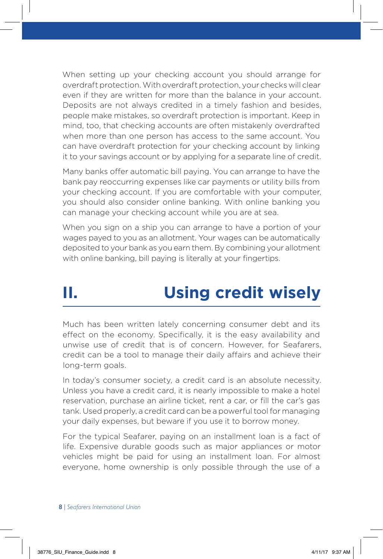When setting up your checking account you should arrange for overdraft protection. With overdraft protection, your checks will clear even if they are written for more than the balance in your account. Deposits are not always credited in a timely fashion and besides, people make mistakes, so overdraft protection is important. Keep in mind, too, that checking accounts are often mistakenly overdrafted when more than one person has access to the same account. You can have overdraft protection for your checking account by linking it to your savings account or by applying for a separate line of credit.

Many banks offer automatic bill paying. You can arrange to have the bank pay reoccurring expenses like car payments or utility bills from your checking account. If you are comfortable with your computer, you should also consider online banking. With online banking you can manage your checking account while you are at sea.

When you sign on a ship you can arrange to have a portion of your wages payed to you as an allotment. Your wages can be automatically deposited to your bank as you earn them. By combining your allotment with online banking, bill paying is literally at your fingertips.

## **II. Using credit wisely**

Much has been written lately concerning consumer debt and its effect on the economy. Specifically, it is the easy availability and unwise use of credit that is of concern. However, for Seafarers, credit can be a tool to manage their daily affairs and achieve their long-term goals.

In today's consumer society, a credit card is an absolute necessity. Unless you have a credit card, it is nearly impossible to make a hotel reservation, purchase an airline ticket, rent a car, or fill the car's gas tank. Used properly, a credit card can be a powerful tool for managing your daily expenses, but beware if you use it to borrow money.

For the typical Seafarer, paying on an installment loan is a fact of life. Expensive durable goods such as major appliances or motor vehicles might be paid for using an installment loan. For almost everyone, home ownership is only possible through the use of a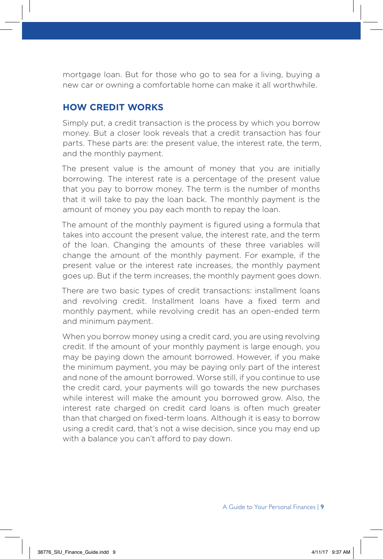mortgage loan. But for those who go to sea for a living, buying a new car or owning a comfortable home can make it all worthwhile.

#### **HOW CREDIT WORKS**

Simply put, a credit transaction is the process by which you borrow money. But a closer look reveals that a credit transaction has four parts. These parts are: the present value, the interest rate, the term, and the monthly payment.

The present value is the amount of money that you are initially borrowing. The interest rate is a percentage of the present value that you pay to borrow money. The term is the number of months that it will take to pay the loan back. The monthly payment is the amount of money you pay each month to repay the loan.

The amount of the monthly payment is figured using a formula that takes into account the present value, the interest rate, and the term of the loan. Changing the amounts of these three variables will change the amount of the monthly payment. For example, if the present value or the interest rate increases, the monthly payment goes up. But if the term increases, the monthly payment goes down.

There are two basic types of credit transactions: installment loans and revolving credit. Installment loans have a fixed term and monthly payment, while revolving credit has an open-ended term and minimum payment.

When you borrow money using a credit card, you are using revolving credit. If the amount of your monthly payment is large enough, you may be paying down the amount borrowed. However, if you make the minimum payment, you may be paying only part of the interest and none of the amount borrowed. Worse still, if you continue to use the credit card, your payments will go towards the new purchases while interest will make the amount you borrowed grow. Also, the interest rate charged on credit card loans is often much greater than that charged on fixed-term loans. Although it is easy to borrow using a credit card, that's not a wise decision, since you may end up with a balance you can't afford to pay down.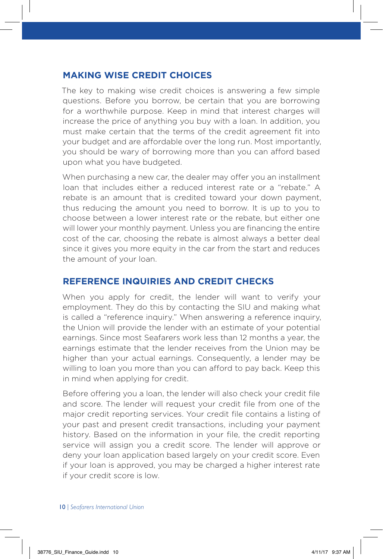#### **MAKING WISE CREDIT CHOICES**

The key to making wise credit choices is answering a few simple questions. Before you borrow, be certain that you are borrowing for a worthwhile purpose. Keep in mind that interest charges will increase the price of anything you buy with a loan. In addition, you must make certain that the terms of the credit agreement fit into your budget and are affordable over the long run. Most importantly, you should be wary of borrowing more than you can afford based upon what you have budgeted.

When purchasing a new car, the dealer may offer you an installment loan that includes either a reduced interest rate or a "rebate." A rebate is an amount that is credited toward your down payment, thus reducing the amount you need to borrow. It is up to you to choose between a lower interest rate or the rebate, but either one will lower your monthly payment. Unless you are financing the entire cost of the car, choosing the rebate is almost always a better deal since it gives you more equity in the car from the start and reduces the amount of your loan.

#### **REFERENCE INQUIRIES AND CREDIT CHECKS**

When you apply for credit, the lender will want to verify your employment. They do this by contacting the SIU and making what is called a "reference inquiry." When answering a reference inquiry, the Union will provide the lender with an estimate of your potential earnings. Since most Seafarers work less than 12 months a year, the earnings estimate that the lender receives from the Union may be higher than your actual earnings. Consequently, a lender may be willing to loan you more than you can afford to pay back. Keep this in mind when applying for credit.

Before offering you a loan, the lender will also check your credit file and score. The lender will request your credit file from one of the major credit reporting services. Your credit file contains a listing of your past and present credit transactions, including your payment history. Based on the information in your file, the credit reporting service will assign you a credit score. The lender will approve or deny your loan application based largely on your credit score. Even if your loan is approved, you may be charged a higher interest rate if your credit score is low.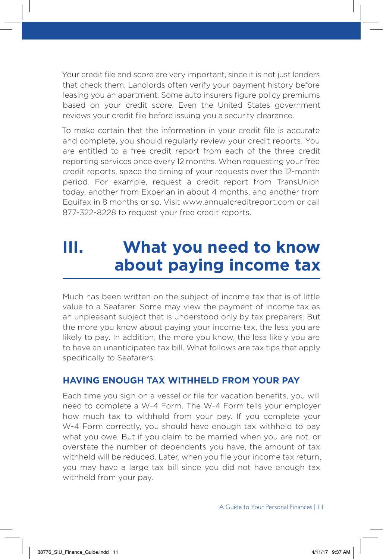Your credit file and score are very important, since it is not just lenders that check them. Landlords often verify your payment history before leasing you an apartment. Some auto insurers figure policy premiums based on your credit score. Even the United States government reviews your credit file before issuing you a security clearance.

To make certain that the information in your credit file is accurate and complete, you should regularly review your credit reports. You are entitled to a free credit report from each of the three credit reporting services once every 12 months. When requesting your free credit reports, space the timing of your requests over the 12-month period. For example, request a credit report from TransUnion today, another from Experian in about 4 months, and another from Equifax in 8 months or so. Visit www.annualcreditreport.com or call 877-322-8228 to request your free credit reports.

### **III. What you need to know about paying income tax**

Much has been written on the subject of income tax that is of little value to a Seafarer. Some may view the payment of income tax as an unpleasant subject that is understood only by tax preparers. But the more you know about paying your income tax, the less you are likely to pay. In addition, the more you know, the less likely you are to have an unanticipated tax bill. What follows are tax tips that apply specifically to Seafarers.

#### **HAVING ENOUGH TAX WITHHELD FROM YOUR PAY**

Each time you sign on a vessel or file for vacation benefits, you will need to complete a W-4 Form. The W-4 Form tells your employer how much tax to withhold from your pay. If you complete your W-4 Form correctly, you should have enough tax withheld to pay what you owe. But if you claim to be married when you are not, or overstate the number of dependents you have, the amount of tax withheld will be reduced. Later, when you file your income tax return, you may have a large tax bill since you did not have enough tax withheld from your pay.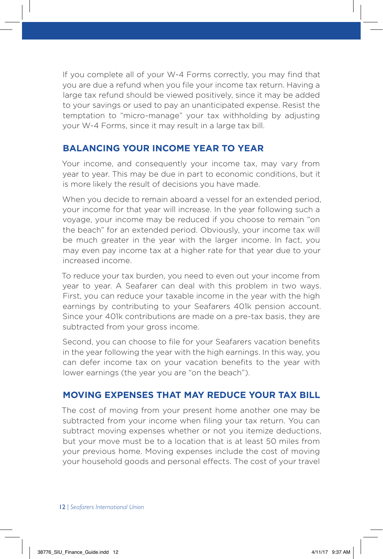If you complete all of your W-4 Forms correctly, you may find that you are due a refund when you file your income tax return. Having a large tax refund should be viewed positively, since it may be added to your savings or used to pay an unanticipated expense. Resist the temptation to "micro-manage" your tax withholding by adjusting your W-4 Forms, since it may result in a large tax bill.

#### **BALANCING YOUR INCOME YEAR TO YEAR**

Your income, and consequently your income tax, may vary from year to year. This may be due in part to economic conditions, but it is more likely the result of decisions you have made.

When you decide to remain aboard a vessel for an extended period, your income for that year will increase. In the year following such a voyage, your income may be reduced if you choose to remain "on the beach" for an extended period. Obviously, your income tax will be much greater in the year with the larger income. In fact, you may even pay income tax at a higher rate for that year due to your increased income.

To reduce your tax burden, you need to even out your income from year to year. A Seafarer can deal with this problem in two ways. First, you can reduce your taxable income in the year with the high earnings by contributing to your Seafarers 401k pension account. Since your 401k contributions are made on a pre-tax basis, they are subtracted from your gross income.

Second, you can choose to file for your Seafarers vacation benefits in the year following the year with the high earnings. In this way, you can defer income tax on your vacation benefits to the year with lower earnings (the year you are "on the beach").

#### **MOVING EXPENSES THAT MAY REDUCE YOUR TAX BILL**

The cost of moving from your present home another one may be subtracted from your income when filing your tax return. You can subtract moving expenses whether or not you itemize deductions, but your move must be to a location that is at least 50 miles from your previous home. Moving expenses include the cost of moving your household goods and personal effects. The cost of your travel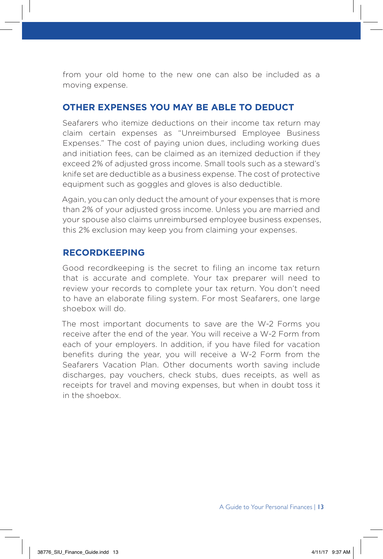from your old home to the new one can also be included as a moving expense.

#### **OTHER EXPENSES YOU MAY BE ABLE TO DEDUCT**

Seafarers who itemize deductions on their income tax return may claim certain expenses as "Unreimbursed Employee Business Expenses." The cost of paying union dues, including working dues and initiation fees, can be claimed as an itemized deduction if they exceed 2% of adjusted gross income. Small tools such as a steward's knife set are deductible as a business expense. The cost of protective equipment such as goggles and gloves is also deductible.

Again, you can only deduct the amount of your expenses that is more than 2% of your adjusted gross income. Unless you are married and your spouse also claims unreimbursed employee business expenses, this 2% exclusion may keep you from claiming your expenses.

#### **RECORDKEEPING**

Good recordkeeping is the secret to filing an income tax return that is accurate and complete. Your tax preparer will need to review your records to complete your tax return. You don't need to have an elaborate filing system. For most Seafarers, one large shoebox will do.

The most important documents to save are the W-2 Forms you receive after the end of the year. You will receive a W-2 Form from each of your employers. In addition, if you have filed for vacation benefits during the year, you will receive a W-2 Form from the Seafarers Vacation Plan. Other documents worth saving include discharges, pay vouchers, check stubs, dues receipts, as well as receipts for travel and moving expenses, but when in doubt toss it in the shoebox.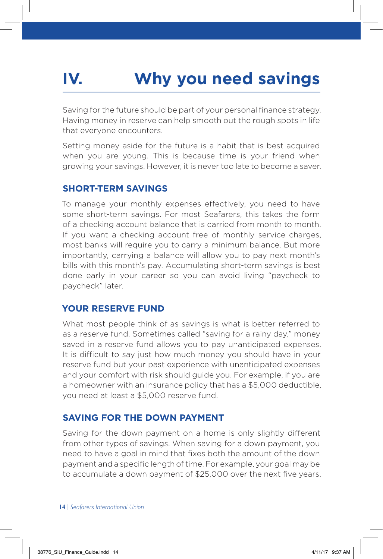# **IV. Why you need savings**

Saving for the future should be part of your personal finance strategy. Having money in reserve can help smooth out the rough spots in life that everyone encounters.

Setting money aside for the future is a habit that is best acquired when you are young. This is because time is your friend when growing your savings. However, it is never too late to become a saver.

#### **SHORT-TERM SAVINGS**

To manage your monthly expenses effectively, you need to have some short-term savings. For most Seafarers, this takes the form of a checking account balance that is carried from month to month. If you want a checking account free of monthly service charges, most banks will require you to carry a minimum balance. But more importantly, carrying a balance will allow you to pay next month's bills with this month's pay. Accumulating short-term savings is best done early in your career so you can avoid living "paycheck to paycheck" later.

#### **YOUR RESERVE FUND**

What most people think of as savings is what is better referred to as a reserve fund. Sometimes called "saving for a rainy day," money saved in a reserve fund allows you to pay unanticipated expenses. It is difficult to say just how much money you should have in your reserve fund but your past experience with unanticipated expenses and your comfort with risk should guide you. For example, if you are a homeowner with an insurance policy that has a \$5,000 deductible, you need at least a \$5,000 reserve fund.

#### **SAVING FOR THE DOWN PAYMENT**

Saving for the down payment on a home is only slightly different from other types of savings. When saving for a down payment, you need to have a goal in mind that fixes both the amount of the down payment and a specific length of time. For example, your goal may be to accumulate a down payment of \$25,000 over the next five years.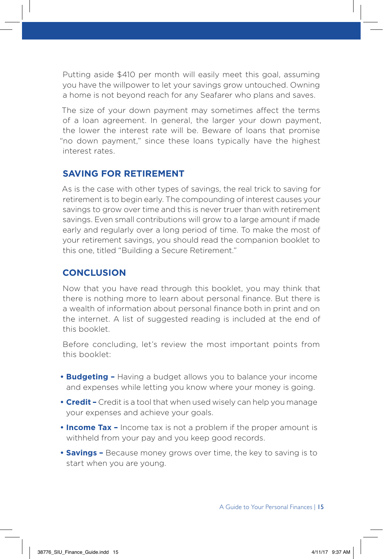Putting aside \$410 per month will easily meet this goal, assuming you have the willpower to let your savings grow untouched. Owning a home is not beyond reach for any Seafarer who plans and saves.

The size of your down payment may sometimes affect the terms of a loan agreement. In general, the larger your down payment, the lower the interest rate will be. Beware of loans that promise "no down payment," since these loans typically have the highest interest rates.

#### **SAVING FOR RETIREMENT**

As is the case with other types of savings, the real trick to saving for retirement is to begin early. The compounding of interest causes your savings to grow over time and this is never truer than with retirement savings. Even small contributions will grow to a large amount if made early and regularly over a long period of time. To make the most of your retirement savings, you should read the companion booklet to this one, titled "Building a Secure Retirement."

#### **CONCLUSION**

Now that you have read through this booklet, you may think that there is nothing more to learn about personal finance. But there is a wealth of information about personal finance both in print and on the internet. A list of suggested reading is included at the end of this booklet.

Before concluding, let's review the most important points from this booklet:

- **Budgeting –** Having a budget allows you to balance your income and expenses while letting you know where your money is going.
- **Credit –** Credit is a tool that when used wisely can help you manage your expenses and achieve your goals.
- **Income Tax –** Income tax is not a problem if the proper amount is withheld from your pay and you keep good records.
- **Savings –** Because money grows over time, the key to saving is to start when you are young.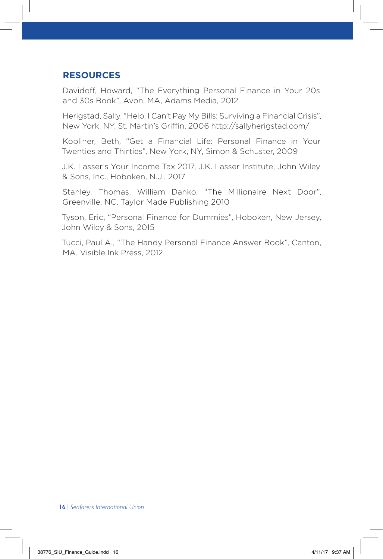#### **RESOURCES**

Davidoff, Howard, "The Everything Personal Finance in Your 20s and 30s Book", Avon, MA, Adams Media, 2012

Herigstad, Sally, "Help, I Can't Pay My Bills: Surviving a Financial Crisis", New York, NY, St. Martin's Griffin, 2006 http://sallyherigstad.com/

Kobliner, Beth, "Get a Financial Life: Personal Finance in Your Twenties and Thirties", New York, NY, Simon & Schuster, 2009

J.K. Lasser's Your Income Tax 2017, J.K. Lasser Institute, John Wiley & Sons, Inc., Hoboken, N.J., 2017

Stanley, Thomas, William Danko, "The Millionaire Next Door", Greenville, NC, Taylor Made Publishing 2010

Tyson, Eric, "Personal Finance for Dummies", Hoboken, New Jersey, John Wiley & Sons, 2015

Tucci, Paul A., "The Handy Personal Finance Answer Book", Canton, MA, Visible Ink Press, 2012